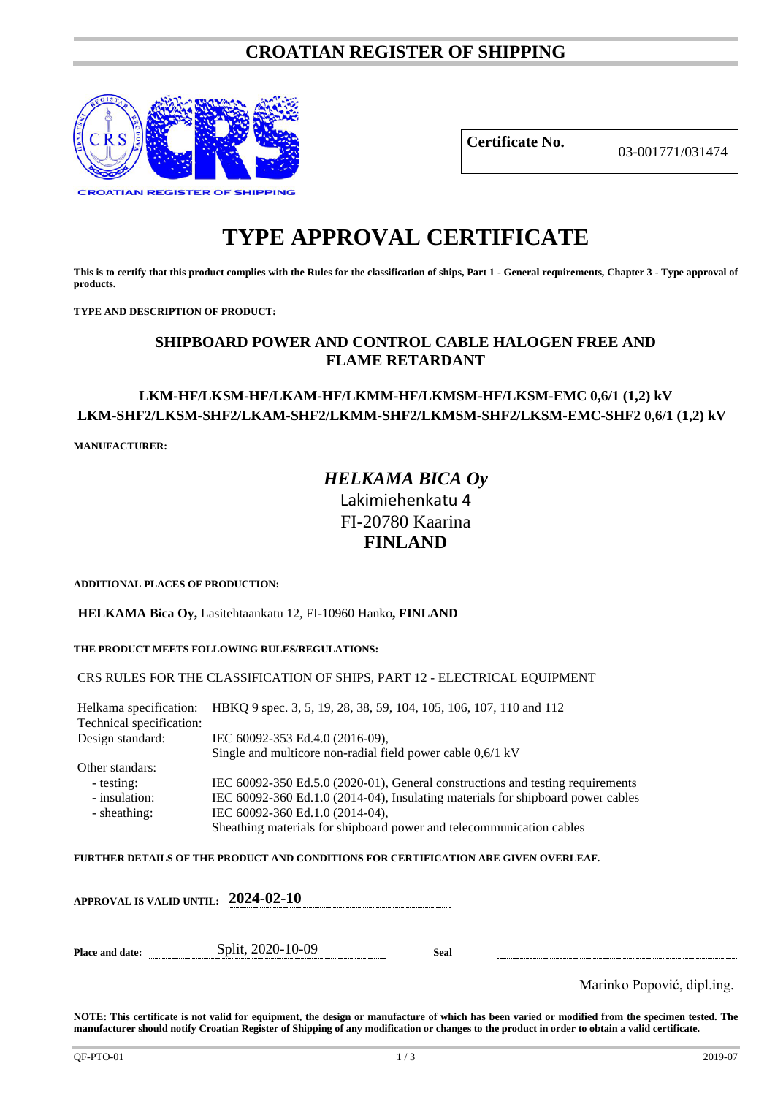# **CROATIAN REGISTER OF SHIPPING**



**Certificate No.** 03-001771/031474

# **TYPE APPROVAL CERTIFICATE**

**This is to certify that this product complies with the Rules for the classification of ships, Part 1 - General requirements, Chapter 3 - Type approval of products.**

**TYPE AND DESCRIPTION OF PRODUCT:** 

## **SHIPBOARD POWER AND CONTROL CABLE HALOGEN FREE AND FLAME RETARDANT**

### **LKM-HF/LKSM-HF/LKAM-HF/LKMM-HF/LKMSM-HF/LKSM-EMC 0,6/1 (1,2) kV LKM-SHF2/LKSM-SHF2/LKAM-SHF2/LKMM-SHF2/LKMSM-SHF2/LKSM-EMC-SHF2 0,6/1 (1,2) kV**

**MANUFACTURER:**

# *HELKAMA BICA Oy* Lakimiehenkatu 4 FI-20780 Kaarina **FINLAND**

**ADDITIONAL PLACES OF PRODUCTION:**

**HELKAMA Bica Oy,** Lasitehtaankatu 12, FI-10960 Hanko**, FINLAND**

**THE PRODUCT MEETS FOLLOWING RULES/REGULATIONS:**

#### CRS RULES FOR THE CLASSIFICATION OF SHIPS, PART 12 - ELECTRICAL EQUIPMENT

Helkama specification: HBKQ 9 spec. 3, 5, 19, 28, 38, 59, 104, 105, 106, 107, 110 and 112 Technical specification: Design standard: IEC 60092-353 Ed.4.0 (2016-09), Single and multicore non-radial field power cable 0,6/1 kV Other standars: - testing: IEC 60092-350 Ed.5.0 (2020-01), General constructions and testing requirements<br>insulation: IEC 60092-360 Ed.1.0 (2014-04), Insulating materials for shipboard power cables IEC 60092-360 Ed.1.0 (2014-04), Insulating materials for shipboard power cables - sheathing: IEC 60092-360 Ed.1.0 (2014-04), Sheathing materials for shipboard power and telecommunication cables

**FURTHER DETAILS OF THE PRODUCT AND CONDITIONS FOR CERTIFICATION ARE GIVEN OVERLEAF.**

|                        | APPROVAL IS VALID UNTIL: $2024$ -02-10 |      |  |
|------------------------|----------------------------------------|------|--|
| <b>Place and date:</b> | Split, 2020-10-09                      | Seal |  |

Marinko Popović, dipl.ing.

**NOTE: This certificate is not valid for equipment, the design or manufacture of which has been varied or modified from the specimen tested. The manufacturer should notify Croatian Register of Shipping of any modification or changes to the product in order to obtain a valid certificate.**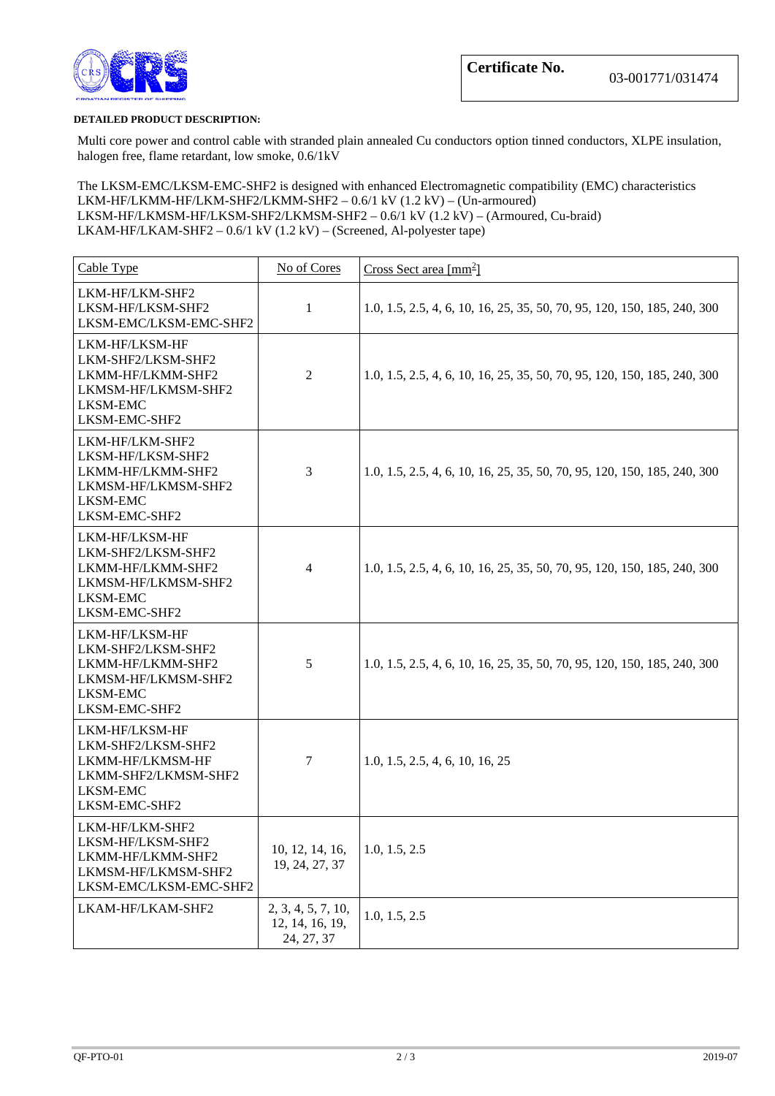

#### **DETAILED PRODUCT DESCRIPTION:**

Multi core power and control cable with stranded plain annealed Cu conductors option tinned conductors, XLPE insulation, halogen free, flame retardant, low smoke, 0.6/1kV

The LKSM-EMC/LKSM-EMC-SHF2 is designed with enhanced Electromagnetic compatibility (EMC) characteristics LKM-HF/LKMM-HF/LKM-SHF2/LKMM-SHF2 – 0.6/1 kV (1.2 kV) – (Un-armoured) LKSM-HF/LKMSM-HF/LKSM-SHF2/LKMSM-SHF2 – 0.6/1 kV (1.2 kV) – (Armoured, Cu-braid) LKAM-HF/LKAM-SHF2 – 0.6/1 kV (1.2 kV) – (Screened, Al-polyester tape)

| Cable Type                                                                                                           | No of Cores                                         | Cross Sect area $\lceil \text{mm}^2 \rceil$                              |
|----------------------------------------------------------------------------------------------------------------------|-----------------------------------------------------|--------------------------------------------------------------------------|
| LKM-HF/LKM-SHF2<br>LKSM-HF/LKSM-SHF2<br>LKSM-EMC/LKSM-EMC-SHF2                                                       | 1                                                   | 1.0, 1.5, 2.5, 4, 6, 10, 16, 25, 35, 50, 70, 95, 120, 150, 185, 240, 300 |
| LKM-HF/LKSM-HF<br>LKM-SHF2/LKSM-SHF2<br>LKMM-HF/LKMM-SHF2<br>LKMSM-HF/LKMSM-SHF2<br><b>LKSM-EMC</b><br>LKSM-EMC-SHF2 | $\overline{2}$                                      | 1.0, 1.5, 2.5, 4, 6, 10, 16, 25, 35, 50, 70, 95, 120, 150, 185, 240, 300 |
| LKM-HF/LKM-SHF2<br>LKSM-HF/LKSM-SHF2<br>LKMM-HF/LKMM-SHF2<br>LKMSM-HF/LKMSM-SHF2<br><b>LKSM-EMC</b><br>LKSM-EMC-SHF2 | 3                                                   | 1.0, 1.5, 2.5, 4, 6, 10, 16, 25, 35, 50, 70, 95, 120, 150, 185, 240, 300 |
| LKM-HF/LKSM-HF<br>LKM-SHF2/LKSM-SHF2<br>LKMM-HF/LKMM-SHF2<br>LKMSM-HF/LKMSM-SHF2<br>LKSM-EMC<br>LKSM-EMC-SHF2        | $\overline{4}$                                      | 1.0, 1.5, 2.5, 4, 6, 10, 16, 25, 35, 50, 70, 95, 120, 150, 185, 240, 300 |
| LKM-HF/LKSM-HF<br>LKM-SHF2/LKSM-SHF2<br>LKMM-HF/LKMM-SHF2<br>LKMSM-HF/LKMSM-SHF2<br><b>LKSM-EMC</b><br>LKSM-EMC-SHF2 | 5                                                   | 1.0, 1.5, 2.5, 4, 6, 10, 16, 25, 35, 50, 70, 95, 120, 150, 185, 240, 300 |
| LKM-HF/LKSM-HF<br>LKM-SHF2/LKSM-SHF2<br>LKMM-HF/LKMSM-HF<br>LKMM-SHF2/LKMSM-SHF2<br><b>LKSM-EMC</b><br>LKSM-EMC-SHF2 | $\tau$                                              | 1.0, 1.5, 2.5, 4, 6, 10, 16, 25                                          |
| LKM-HF/LKM-SHF2<br>LKSM-HF/LKSM-SHF2<br>LKMM-HF/LKMM-SHF2<br>LKMSM-HF/LKMSM-SHF2<br>LKSM-EMC/LKSM-EMC-SHF2           | 10, 12, 14, 16,<br>19, 24, 27, 37                   | 1.0, 1.5, 2.5                                                            |
| LKAM-HF/LKAM-SHF2                                                                                                    | 2, 3, 4, 5, 7, 10,<br>12, 14, 16, 19,<br>24, 27, 37 | 1.0, 1.5, 2.5                                                            |